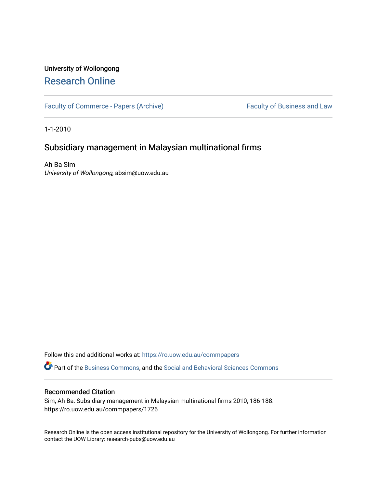# University of Wollongong [Research Online](https://ro.uow.edu.au/)

[Faculty of Commerce - Papers \(Archive\)](https://ro.uow.edu.au/commpapers) Faculty of Business and Law

1-1-2010

# Subsidiary management in Malaysian multinational firms

Ah Ba Sim University of Wollongong, absim@uow.edu.au

Follow this and additional works at: [https://ro.uow.edu.au/commpapers](https://ro.uow.edu.au/commpapers?utm_source=ro.uow.edu.au%2Fcommpapers%2F1726&utm_medium=PDF&utm_campaign=PDFCoverPages) 

Part of the [Business Commons](http://network.bepress.com/hgg/discipline/622?utm_source=ro.uow.edu.au%2Fcommpapers%2F1726&utm_medium=PDF&utm_campaign=PDFCoverPages), and the [Social and Behavioral Sciences Commons](http://network.bepress.com/hgg/discipline/316?utm_source=ro.uow.edu.au%2Fcommpapers%2F1726&utm_medium=PDF&utm_campaign=PDFCoverPages) 

## Recommended Citation

Sim, Ah Ba: Subsidiary management in Malaysian multinational firms 2010, 186-188. https://ro.uow.edu.au/commpapers/1726

Research Online is the open access institutional repository for the University of Wollongong. For further information contact the UOW Library: research-pubs@uow.edu.au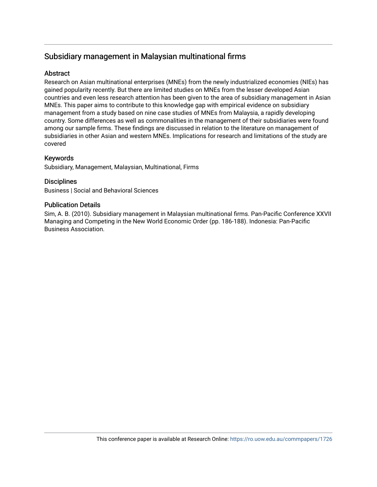# Subsidiary management in Malaysian multinational firms

# **Abstract**

Research on Asian multinational enterprises (MNEs) from the newly industrialized economies (NIEs) has gained popularity recently. But there are limited studies on MNEs from the lesser developed Asian countries and even less research attention has been given to the area of subsidiary management in Asian MNEs. This paper aims to contribute to this knowledge gap with empirical evidence on subsidiary management from a study based on nine case studies of MNEs from Malaysia, a rapidly developing country. Some differences as well as commonalities in the management of their subsidiaries were found among our sample firms. These findings are discussed in relation to the literature on management of subsidiaries in other Asian and western MNEs. Implications for research and limitations of the study are covered

# Keywords

Subsidiary, Management, Malaysian, Multinational, Firms

# **Disciplines**

Business | Social and Behavioral Sciences

## Publication Details

Sim, A. B. (2010). Subsidiary management in Malaysian multinational firms. Pan-Pacific Conference XXVII Managing and Competing in the New World Economic Order (pp. 186-188). Indonesia: Pan-Pacific Business Association.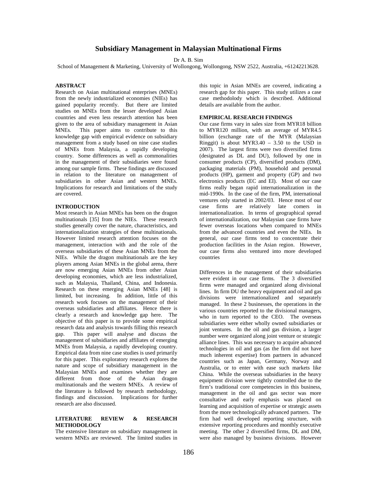## **Subsidiary Management in Malaysian Multinational Firms**

Dr A. B. Sim

School of Management & Marketing, University of Wollongong, Wollongong, NSW 2522, Australia, +61242213628.

### **ABSTRACT**

Research on Asian multinational enterprises (MNEs) from the newly industrialized economies (NIEs) has gained popularity recently. But there are limited studies on MNEs from the lesser developed Asian countries and even less research attention has been given to the area of subsidiary management in Asian MNEs. This paper aims to contribute to this knowledge gap with empirical evidence on subsidiary management from a study based on nine case studies of MNEs from Malaysia, a rapidly developing country. Some differences as well as commonalities in the management of their subsidiaries were found among our sample firms. These findings are discussed in relation to the literature on management of subsidiaries in other Asian and western MNEs. Implications for research and limitations of the study are covered.

## **INTRODUCTION**

Most research in Asian MNEs has been on the dragon multinationals [35] from the NIEs. These research studies generally cover the nature, characteristics, and internationalization strategies of these multinationals. However limited research attention focuses on the management, interaction with and the role of the overseas subsidiaries of these Asian MNEs from the NIEs. While the dragon multinationals are the key players among Asian MNEs in the global arena, there are now emerging Asian MNEs from other Asian developing economies, which are less industrialized, such as Malaysia, Thailand, China, and Indonesia. Research on these emerging Asian MNEs [48] is limited, but increasing. In addition, little of this research work focuses on the management of their overseas subsidiaries and affiliates. Hence there is clearly a research and knowledge gap here. The objective of this paper is to provide some empirical research data and analysis towards filling this research gap. This paper will analyse and discuss the management of subsidiaries and affiliates of emerging MNEs from Malaysia, a rapidly developing country. Empirical data from nine case studies is used primarily for this paper. This exploratory research explores the nature and scope of subsidiary management in the Malaysian MNEs and examines whether they are different from those of the Asian dragon multinationals and the western MNEs. A review of the literature is followed by research methodology, findings and discussion. Implications for further research are also discussed.

### **LITERATURE REVIEW & RESEARCH METHODOLOGY**

The extensive literature on subsidiary management in western MNEs are reviewed. The limited studies in this topic in Asian MNEs are covered, indicating a research gap for this paper. This study utilizes a case case methodolody which is described. Additional details are available from the author.

### **EMPIRICAL RESEARCH FINDINGS**

Our case firms vary in sales size from MYR18 billion to MYR120 million, with an average of MYR4.5 billion (exchange rate of the MYR (Malaysian Ringgit) is about MYR3.40 – 3.50 to the USD in 2007). The largest firms were two diversified firms (designated as DL and DU), followed by one in consumer products (CP), diversified products (DM), packaging materials (PM), household and personal products (HP), garment and property (GP) and two electronics products (EC and EI). Most of our case firms really began rapid internationalization in the mid-1990s. In the case of the firm, PM, international ventures only started in 2002/03. Hence most of our case firms are relatively late comers in internationalization. In terms of geographical spread of internationalization, our Malaysian case firms have fewer overseas locations when compared to MNEs from the advanced countries and even the NIEs. In general, our case firms tend to concentrate their production facilities in the Asian region. However, our case firms also ventured into more developed countries

Differences in the management of their subsidiaries were evident in our case firms. The 3 diversified firms were managed and organized along divisional lines. In firm DU the heavy equipment and oil and gas divisions were internationalized and separately managed. In these 2 businesses, the operations in the various countries reported to the divisional managers, who in turn reported to the CEO. The overseas subsidiaries were either wholly owned subsidiaries or joint ventures. In the oil and gas division, a larger number were organized along joint venture or strategic alliance lines. This was necessary to acquire advanced technologies in oil and gas (as the firm did not have much inherent expertise) from partners in advanced countries such as Japan, Germany, Norway and Australia, or to enter with ease such markets like China. While the overseas subsidiaries in the heavy equipment division were tightly controlled due to the firm's traditional core competencies in this business, management in the oil and gas sector was more consultative and early emphasis was placed on learning and acquisition of expertise or strategic assets from the more technologically advanced partners. The firm had well developed reporting structure, with extensive reporting procedures and monthly executive meeting. The other 2 diversified firms, DL and DM, were also managed by business divisions. However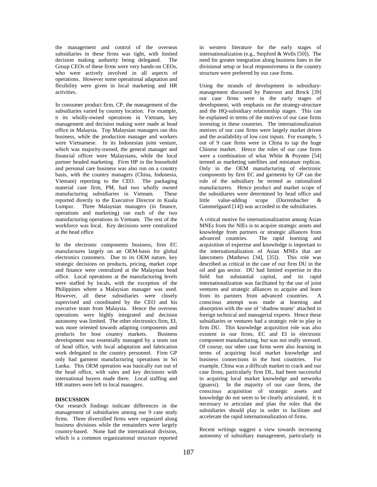the management and control of the overseas subsidiaries in these firms was tight, with limited decision making authority being delegated. The Group CEOs of these firms were very hands-on CEOs, who were actively involved in all aspects of operations. However some operational adaptation and flexibility were given in local marketing and HR activities.

In consumer product firm, CP, the management of the subsidiaries varied by country location. For example, n its wholly-owned operations in Vietnam, key management and decision making were made at head office in Malaysia. Top Malaysian managers ran this business, while the production manager and workers were Vietnamese. In its Indonesian joint venture, which was majority-owned, the general manager and financial officer were Malaysians, while the local partner headed marketing. Firm HP in the household and personal care business was also run on a country basis, with the country managers (China, Indonesia, Vietnam) reporting to the CEO. The packaging material case firm, PM, had two wholly owned manufacturing subsidiaries in Vietnam. These reported directly to the Executive Director in Kuala Lumpur. Three Malaysian managers (in finance, operations and marketing) ran each of the two manufacturing operations in Vietnam. The rest of the workforce was local. Key decisions were centralized at the head office

In the electronic components business, firm EC manufactures largely on an OEM-basis for global electronics customers. Due to its OEM nature, key strategic decisions on products, pricing, market cope and finance were centralized at the Malaysian head office. Local operations at the manufacturing levels were staffed by locals, with the exception of the Philippines where a Malaysian manager was used. However, all these subsidiaries were closely supervised and coordinated by the CEO and his executive team from Malaysia. Hence the overseas operations were highly integrated and decision autonomy was limited. The other electronics firm, EI, was more oriented towards adapting components and products for host country markets. Business development was essentially managed by a team out of head office, with local adaptation and fabrication work delegated to the country personnel. Firm GP only had garment manufacturing operations in Sri Lanka. This OEM operation was basically run out of the head office, with sales and key decisions with international buyers made there. Local staffing and HR matters were left to local managers.

### **DISCUSSION**

Our research findings indicate differences in the management of subsidiaries among our 9 case study firms. Three diversified firms were organized along business divisions while the remainders were largely country-based. None had the international division, which is a common organizational structure reported in western literature for the early stages of internationalization (e.g., Stopford & Wells [50]). The need for greater integration along business lines in the divisional setup or local responsiveness in the country structure were preferred by our case firms.

Using the strands of development in subsidiarymanagement discussed by Paterson and Brock [39] our case firms were in the early stages of development, with emphasis on the strategy-structure and the HQ-subsidiary relationship stages. This can be explained in terms of the motives of our case firms investing in these countries. The internationalization motives of our case firms were largely market driven and the availability of low cost inputs. For example, 5 out of 9 case firms were in China to tap the huge Chinese market. Hence the roles of our case firms were a combination of what White & Poynter [54] termed as marketing satellites and miniature replicas. Only in the OEM manufacturing of electronic components by firm EC and garments by GP can the role of the subsidiary be termed as rationalized manufacturers. Hence product and market scope of the subsidiaries were determined by head office and<br>little value-adding scope (Dorrenbacher & value-adding scope (Dorrenbacher & Gammelgaard [14]) was accorded to the subsidiaries.

A critical motive for internationalization among Asian MNEs from the NIEs is to acquire strategic assets and knowledge from partners or strategic alliances from advanced countries. The rapid learning and acquisition of expertise and knowledge is important to the internationalization of Asian MNEs that are latecomers (Mathews [34], [35]). This role was described as critical in the case of our firm DU in the oil and gas sector. DU had limited expertise in this field but substantial capital, and its rapid internationalization was facilitated by the use of joint ventures and strategic alliances to acquire and learn from its partners from advanced countries. A conscious attempt was made at learning and absorption with the use of 'shadow teams' attached to foreign technical and managerial experts. Hence these subsidiaries or ventures had a strategic role to play in firm DU. This knowledge acquisition role was also existent in our firms, EC and EI in electronic component manufacturing, but was not really stressed. Of course, our other case firms were also learning in terms of acquiring local market knowledge and business connections in the host countries. For example, China was a difficult market to crack and our case firms, particularly firm DL, had been successful in acquiring local market knowledge and networks (guanxi). In the majority of our case firms, the conscious acquisition of strategic assets and knowledge do not seem to be clearly articulated. It is necessary to articulate and plan the roles that the subsidiaries should play in order to facilitate and accelerate the rapid internationalization of firms.

Recent writings suggest a view towards increasing autonomy of subsidiary management, particularly in